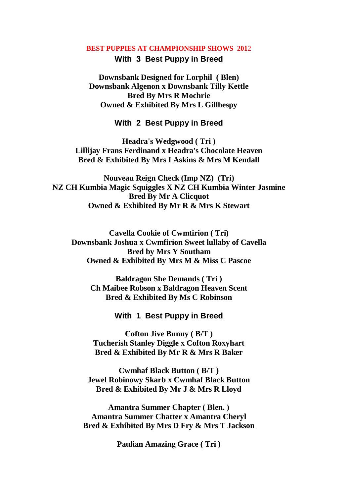#### **BEST PUPPIES AT CHAMPIONSHIP SHOWS 201**2

### **With 3 Best Puppy in Breed**

**Downsbank Designed for Lorphil ( Blen) Downsbank Algenon x Downsbank Tilly Kettle Bred By Mrs R Mochrie Owned & Exhibited By Mrs L Gillhespy**

# **With 2 Best Puppy in Breed**

**Headra's Wedgwood ( Tri ) Lillijay Frans Ferdinand x Headra's Chocolate Heaven Bred & Exhibited By Mrs I Askins & Mrs M Kendall**

**Nouveau Reign Check (Imp NZ) (Tri) NZ CH Kumbia Magic Squiggles X NZ CH Kumbia Winter Jasmine Bred By Mr A Clicquot Owned & Exhibited By Mr R & Mrs K Stewart**

**Cavella Cookie of Cwmtirion ( Tri) Downsbank Joshua x Cwmfirion Sweet lullaby of Cavella Bred by Mrs Y Southam Owned & Exhibited By Mrs M & Miss C Pascoe**

**Baldragon She Demands ( Tri ) Ch Maibee Robson x Baldragon Heaven Scent Bred & Exhibited By Ms C Robinson**

# **With 1 Best Puppy in Breed**

**Cofton Jive Bunny ( B/T ) Tucherish Stanley Diggle x Cofton Roxyhart Bred & Exhibited By Mr R & Mrs R Baker**

**Cwmhaf Black Button ( B/T ) Jewel Robinowy Skarb x Cwmhaf Black Button Bred & Exhibited By Mr J & Mrs R Lloyd**

**Amantra Summer Chapter ( Blen. ) Amantra Summer Chatter x Amantra Cheryl Bred & Exhibited By Mrs D Fry & Mrs T Jackson**

**Paulian Amazing Grace ( Tri )**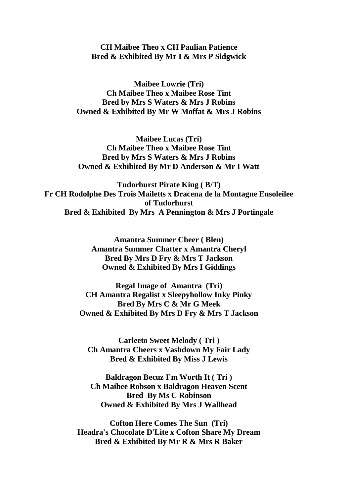# **CH Maibee Theo x CH Paulian Patience Bred & Exhibited By Mr I & Mrs P Sidgwick**

**Maibee Lowrie (Tri) Ch Maibee Theo x Maibee Rose Tint Bred by Mrs S Waters & Mrs J Robins Owned & Exhibited By Mr W Moffat & Mrs J Robins**

**Maibee Lucas (Tri) Ch Maibee Theo x Maibee Rose Tint Bred by Mrs S Waters & Mrs J Robins Owned & Exhibited By Mr D Anderson & Mr I Watt**

**Tudorhurst Pirate King ( B/T) Fr CH Rodolphe Des Trois Mailetts x Dracena de la Montagne Ensoleilee of Tudorhurst Bred & Exhibited By Mrs A Pennington & Mrs J Portingale**

> **Amantra Summer Cheer ( Blen) Amantra Summer Chatter x Amantra Cheryl Bred By Mrs D Fry & Mrs T Jackson Owned & Exhibited By Mrs I Giddings**

**Regal Image of Amantra (Tri) CH Amantra Regalist x Sleepyhollow Inky Pinky Bred By Mrs C & Mr G Meek Owned & Exhibited By Mrs D Fry & Mrs T Jackson**

**Carleeto Sweet Melody ( Tri ) Ch Amantra Cheers x Vashdown My Fair Lady Bred & Exhibited By Miss J Lewis**

**Baldragon Becuz I'm Worth It ( Tri ) Ch Maibee Robson x Baldragon Heaven Scent Bred By Ms C Robinson Owned & Exhibited By Mrs J Wallhead**

**Cofton Here Comes The Sun (Tri) Headra's Chocolate D'Lite x Cofton Share My Dream Bred & Exhibited By Mr R & Mrs R Baker**